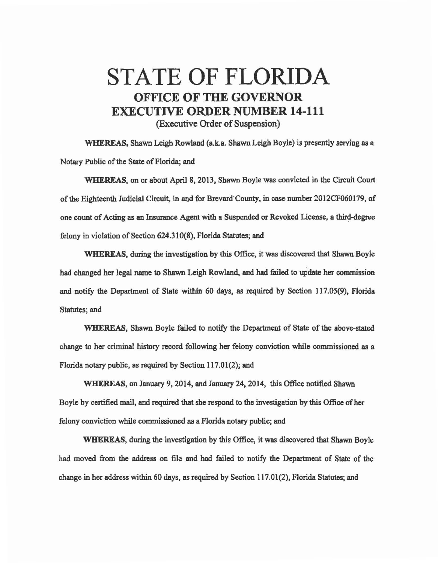## STATE OF FLORIDA OFFICE OF THE GOVERNOR EXECUTIVE ORDER NUMBER 14-111 (Executive Order of Suspension)

WHEREAS, Shawn Leigh Rowland (a.k.a. Shawn Leigh Boyle) is presently serving as a Notary Public of the State of Florida; and

WHEREAS. on or about April 8, 2013, Shawn Boyle was convicted in lhe Circuit Court of the Eighteenth Judicial Circuit, in and for Brevard·Cmmty, in case nwnber 2012CF060179, of one count of Acting as an Insurance Agent with a Suspended or Revoked License, a third-degree felony in violation of Section 624.310(8), Florida Statutes; and

WHEREAS, during the investigation by this Office, it was discovered that Shawn Boyle had changed her legal name to Shawn Leigh Rowland, and had failed to update her commission and notify the Department of State within 60 days, as required by Section 117.05(9), Florida Statutes; and

WHEREAS, Shawn Boyle failed to notify the Department of State of the above-stated change to her criminal history record following her felony conviction while commissioned as a Florida notary public, as required by Section  $117.01(2)$ ; and

WHEREAS, on January 9, 2014, and January 24, 2014, this Office notified Shawn Boyle by certified mail, and required that she respond to the investigation by this Office of her felony conviction while commissioned as a Florida notary public; and

WHEREAS, during the investigation by this Office, it was discovered that Shawn Boyle had moved from the address on file and had failed to notify the Department of State of the change in her address within 60 days, as required by Section  $117.01(2)$ , Florida Statutes; and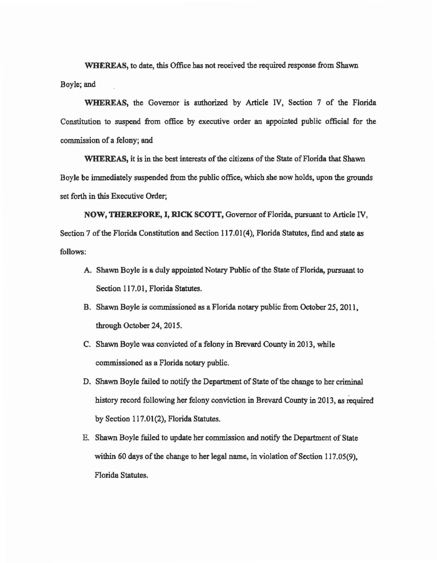WHEREAS, to date, this Office bas not received the required response from Shawn Boyle; and

WHEREAS, the Governor is authorized by Article IV, Section 7 of the Florida Constitution to suspend from office by executive order an appointed public official for the commission of a felony; and

WHEREAS, it is in the best interests of the citizens of the State of Florida that Shawn Boyle be immediately suspended from the public office; which she now holds, upon the grounds set forth in this Executive Order;

NOW, THEREFORE, I, RICK SCOTT, Governor of Florida, pursuant to Article IV, Section 7 of the Florida Constitution and Section 117.01 (4), Florida Statutes, find and state as follows:

- A. Shawn Boyle is a duly appointed Notary Public of the State of Florida, pursuant to Section 117.01, Florida Statutes.
- B. Shawn Boyle is commissioned as a Florida notary public from October *25,* 2011. through October 24, 2015.
- C. Shawn Boyle was convicted of a felony in Brevard County in 2013, while commissioned as a Florida notary public.
- D. Shawn Boyle failed to notify the Department of State of the change to her criminal history record following her felony conviction in Brevard County in 2013, as required by Section 117.01(2), Florida Statutes.
- E. Shawn Boyle failed to update her commission and notify the Department of State within 60 days of the change to her legal name, in violation of Section 117.05(9), Florida Statutes.